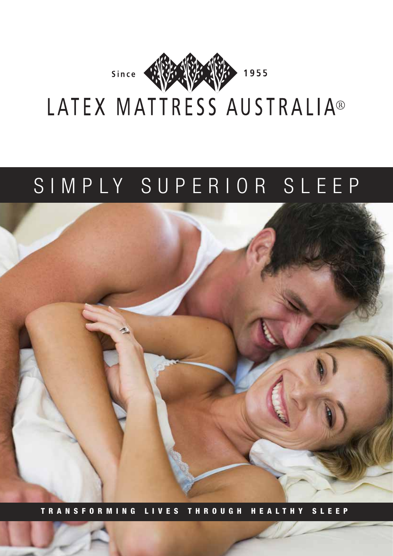

# SIMPLY SUPERIOR SLEEP



TRANSFORMING LIVES THROUGH HEALTHY SLEEP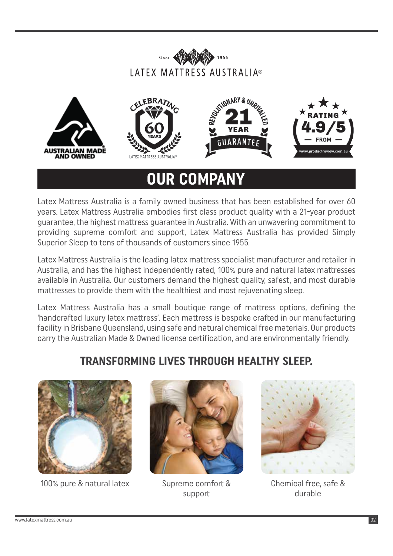









# **OUR COMPANY**

Latex Mattress Australia is a family owned business that has been established for over 60 years. Latex Mattress Australia embodies first class product quality with a 21-year product guarantee, the highest mattress guarantee in Australia. With an unwavering commitment to providing supreme comfort and support, Latex Mattress Australia has provided Simply Superior Sleep to tens of thousands of customers since 1955.

Latex Mattress Australia is the leading latex mattress specialist manufacturer and retailer in Australia, and has the highest independently rated, 100% pure and natural latex mattresses available in Australia. Our customers demand the highest quality, safest, and most durable mattresses to provide them with the healthiest and most rejuvenating sleep.

Latex Mattress Australia has a small boutique range of mattress options, defining the 'handcrafted luxury latex mattress'. Each mattress is bespoke crafted in our manufacturing facility in Brisbane Queensland, using safe and natural chemical free materials. Our products carry the Australian Made & Owned license certification, and are environmentally friendly.

### **TRANSFORMING LIVES THROUGH HEALTHY SLEEP.**



100% pure & natural latex Supreme comfort &



support



Chemical free, safe & durable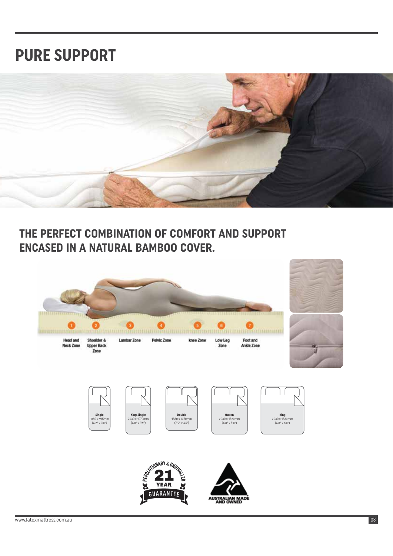# **PURE SUPPORT**



#### **THE PERFECT COMBINATION OF COMFORT AND SUPPORT ENCASED IN A NATURAL BAMBOO COVER.**

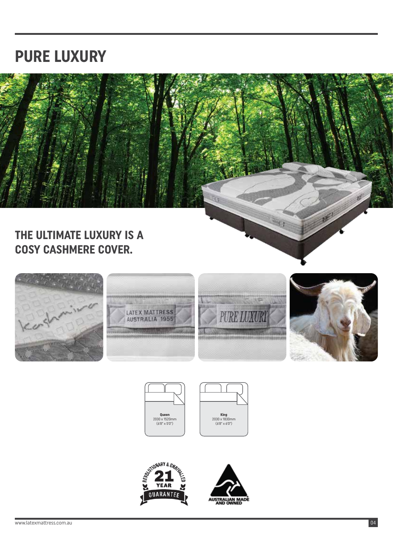### **PURE LUXURY**



#### **THE ULTIMATE LUXURY IS A COSY CASHMERE COVER.**















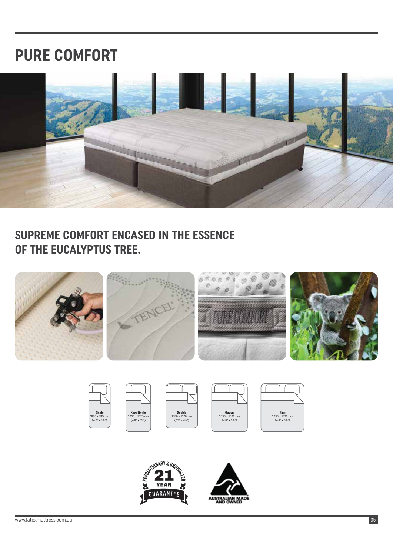### **PURE COMFORT**



#### **SUPREME COMFORT ENCASED IN THE ESSENCE OF THE EUCALYPTUS TREE.**



| Single<br>1880 x 915mm<br>$(6'2'' \times 3'0'')$ |  |
|--------------------------------------------------|--|











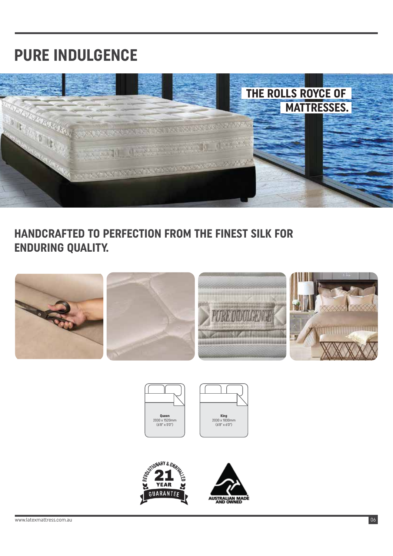# **PURE INDULGENCE**



#### **HANDCRAFTED TO PERFECTION FROM THE FINEST SILK FOR ENDURING QUALITY.**









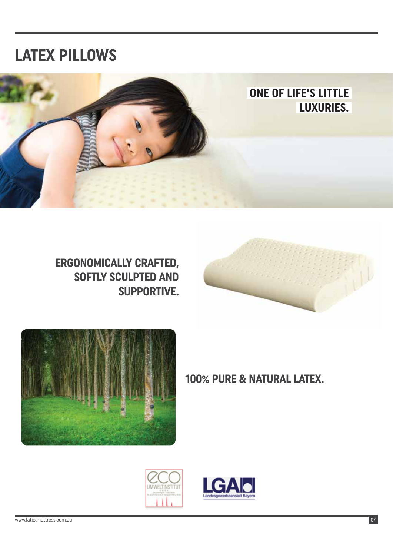### **LATEX PILLOWS**









**ONE OF LIFE'S LITTLE** 

**100% PURE & NATURAL LATEX.**



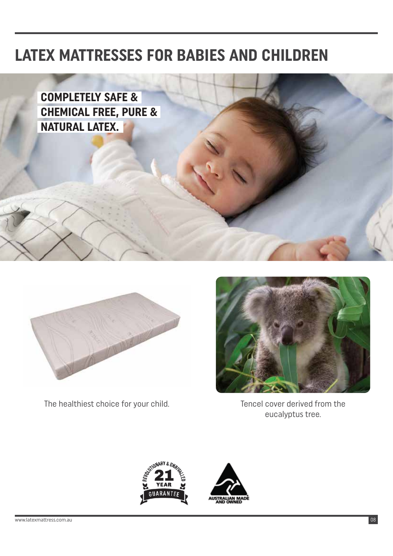## **LATEX MATTRESSES FOR BABIES AND CHILDREN**





The healthiest choice for your child. The healthiest choice for your child.



eucalyptus tree.

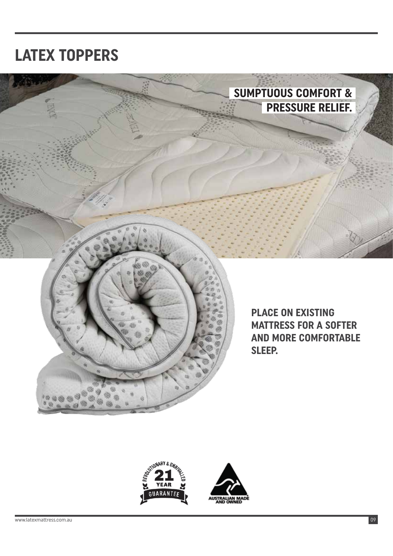# **LATEX TOPPERS**





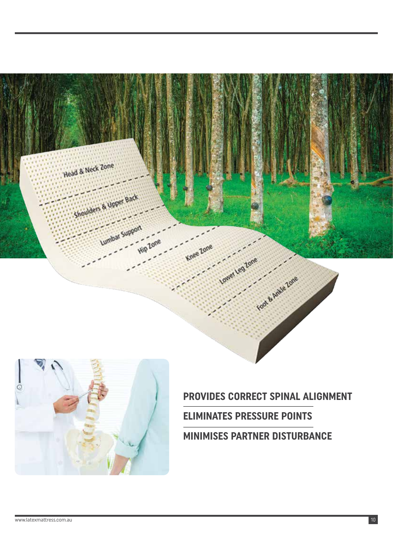



#### **PROVIDES CORRECT SPINAL ALIGNMENT**

**ELIMINATES PRESSURE POINTS**

**MINIMISES PARTNER DISTURBANCE**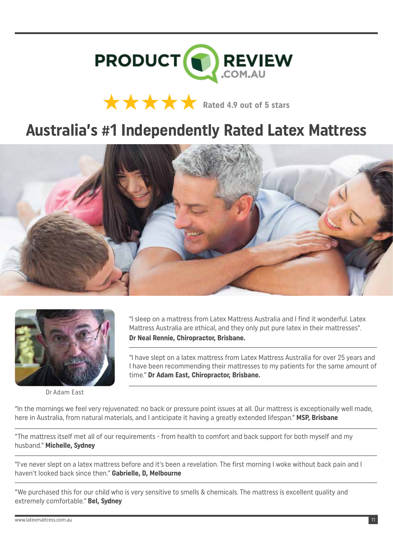

# **Rated 4.9 out of 5 stars**

### **Australia's #1 Independently Rated Latex Mattress**





Dr Adam East

"I sleep on a mattress from Latex Mattress Australia and I find it wonderful. Latex Mattress Australia are ethical, and they only put pure latex in their mattresses". **Dr Neal Rennie, Chiropractor, Brisbane.** 

"I have slept on a latex mattress from Latex Mattress Australia for over 25 years and I have been recommending their mattresses to my patients for the same amount of time." **Dr Adam East, Chiropractor, Brisbane.** 

"In the mornings we feel very rejuvenated: no back or pressure point issues at all. Our mattress is exceptionally well made, here in Australia, from natural materials, and I anticipate it having a greatly extended lifespan." **MSP, Brisbane** 

"The mattress itself met all of our requirements - from health to comfort and back support for both myself and my husband." **Michelle, Sydney** 

"I've never slept on a latex mattress before and it's been a revelation. The first morning I woke without back pain and I haven't looked back since then." **Gabrielle, D, Melbourne**

"We purchased this for our child who is very sensitive to smells & chemicals. The mattress is excellent quality and extremely comfortable." **Bel, Sydney**